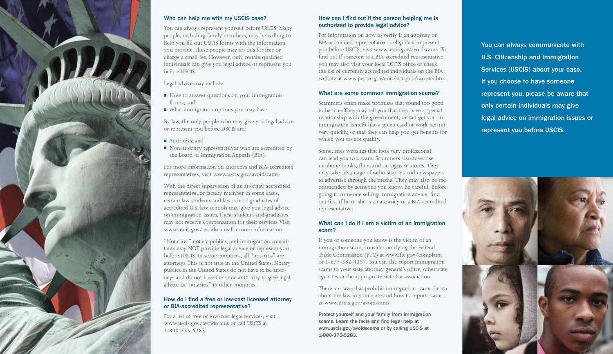

### Who can help me with my USCIS case?

You can always represent yourself before USCIS. Many people, including family members, may be willing to help you fill out USCIS forms with the information you provide. These people may do this for free or charge a small fee. However, only certain qualified individuals can give you legal advice or represent you before USCIS.

Legal advice may include:

- How to answer questions on your immigration forms; and
- <sup>n</sup> What immigration options you may have.

By law, the only people who may give you legal advice or represent you before USCIS are:

- Attorneys; and
- <sup>n</sup> Non-attorney representatives who are accredited by the Board of Immigration Appeals (BIA).

For more information on attorneys and BIA-accredited representatives, visit [www.uscis.gov/avoidscams](http://www.uscis.gov/avoidscams).

With the direct supervision of an attorney, accredited representative, or faculty member in some cases, certain law students and law school graduates of accredited U.S. law schools may give you legal advice on immigration issues. These students and graduates may not receive compensation for their services. Visit [www.uscis.gov/avoidscams](http://www.uscis.gov/avoidscams) for more information.

"Notarios," notary publics, and immigration consultants may NOT provide legal advice or represent you before USCIS. In some countries, all "notarios" are attorneys. This is not true in the United States. Notary publics in the United States do not have to be attorneys and do not have the same authority to give legal advice as "notarios" in other countries.

# How do I find a free or low-cost licensed attorney or BIA-accredited representative?

For a list of free or low-cost legal services, visit [www.uscis.gov/avoidscams](http://www.uscis.gov/avoidscams) or call USCIS at 1-800-375-5283.

## How can I find out if the person helping me is authorized to provide legal advice?

For information on how to verify if an attorney or BIA-accredited representative is eligible to represent you before USCIS, visit [www.uscis.gov/avoidscams](http://www.uscis.gov/avoidscams). To find out if someone is a BIA-accredited representative, you may also visit your local USCIS office or check the list of currently accredited individuals on the BIA website at [www.justice.gov/eoir/statspub/raroster.htm](http://www.justice.gov/eoir/statspub/raroster.htm).

#### What are some common immigration scams?

Scammers often make promises that sound too good to be true. They may tell you that they have a special relationship with the government, or can get you an immigration benefit like a green card or work permit very quickly, or that they can help you get benefits for which you do not qualify.

Sometimes websites that look very professional can lead you to a scam. Scammers also advertise in phone books, fliers and on signs in stores. They may take advantage of radio stations and newspapers to advertise through the media. They may also be recommended by someone you know. Be careful. Before going to someone selling immigration advice, find out first if he or she is an attorney or a BIA-accredited representative.

## What can I do if I am a victim of an immigration scam?

If you or someone you know is the victim of an immigration scam, consider notifying the Federal Trade Commission (FTC) at [www.ftc.gov/complaint](http://www.ftc.gov/complaint)  or 1-877-382-4357. You can also report immigration scams to your state attorney general's office, other state agencies or the appropriate state bar association.

There are laws that prohibit immigration scams. Learn about the law in your state and how to report scams at [www.uscis.gov/avoidscams.](http://www.uscis.gov/avoidscams)

Protect yourself and your family from immigration scams. Learn the facts and find legal help at [www.uscis.gov/avoidscams](http://www.uscis.gov/avoidscams) or by calling USCIS at 1-800-375-5283.

You can always communicate with U.S. Citizenship and Immigration Services (USCIS) about your case. If you choose to have someone represent you, please be aware that only certain individuals may give legal advice on immigration issues or represent you before USCIS.